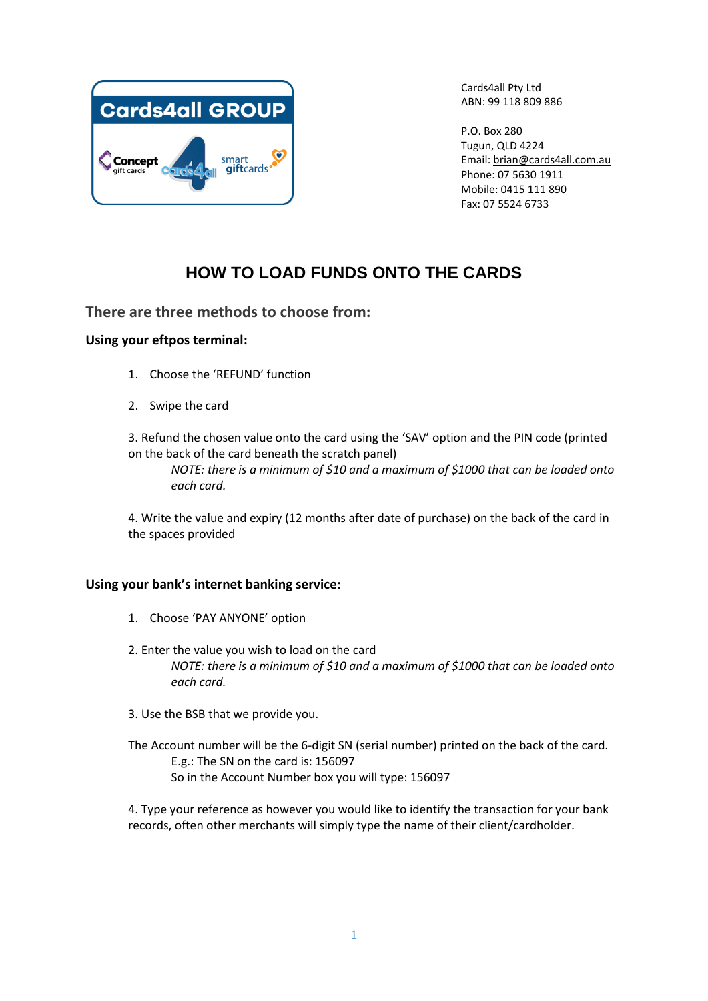

Cards4all Pty Ltd ABN: 99 118 809 886

P.O. Box 280 Tugun, QLD 4224 Email: [brian@cards4all.com.au](mailto:brian@cards4all.com.au) Phone: 07 5630 1911 Mobile: 0415 111 890 Fax: 07 5524 6733

# **HOW TO LOAD FUNDS ONTO THE CARDS**

# **There are three methods to choose from:**

# **Using your eftpos terminal:**

- 1. Choose the 'REFUND' function
- 2. Swipe the card

3. Refund the chosen value onto the card using the 'SAV' option and the PIN code (printed on the back of the card beneath the scratch panel)

*NOTE: there is a minimum of \$10 and a maximum of \$1000 that can be loaded onto each card.*

4. Write the value and expiry (12 months after date of purchase) on the back of the card in the spaces provided

## **Using your bank's internet banking service:**

- 1. Choose 'PAY ANYONE' option
- 2. Enter the value you wish to load on the card *NOTE: there is a minimum of \$10 and a maximum of \$1000 that can be loaded onto each card.*
- 3. Use the BSB that we provide you.
- The Account number will be the 6-digit SN (serial number) printed on the back of the card. E.g.: The SN on the card is: 156097 So in the Account Number box you will type: 156097

4. Type your reference as however you would like to identify the transaction for your bank records, often other merchants will simply type the name of their client/cardholder.